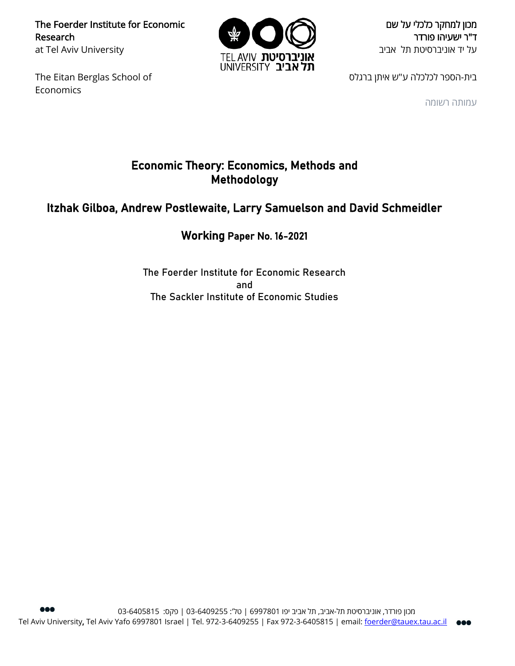The Foerder Institute for Economic Research at Tel Aviv University

The Eitan Berglas School of Economics



מכון למחקר כלכלי על שם ד"ר ישעיהו פורדר על יד אוניברסיטת תל אביב

בית-הספר לכלכלה ע"ש איתן ברגלס

עמותה רשומה

# Economic Theory: Economics, Methods and Methodology

# Itzhak Gilboa, Andrew Postlewaite, Larry Samuelson and David Schmeidler

# Working Paper No. 16-2021

The Foerder Institute for Economic Research and The Sackler Institute of Economic Studies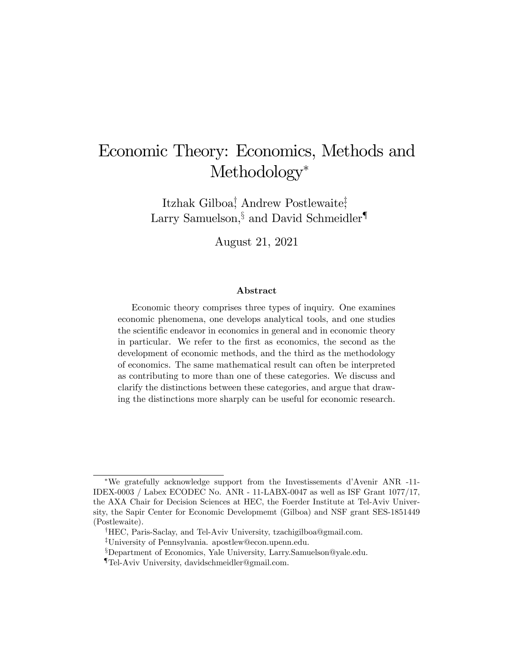# Economic Theory: Economics, Methods and Methodology<sup>\*</sup>

Itzhak Gilboa<sup>†</sup>, Andrew Postlewaite<sup>†</sup>, Larry Samuelson,  $\frac{1}{3}$  and David Schmeidler<sup>1</sup>

August 21, 2021

#### Abstract

Economic theory comprises three types of inquiry. One examines economic phenomena, one develops analytical tools, and one studies the scientific endeavor in economics in general and in economic theory in particular. We refer to the first as economics, the second as the development of economic methods, and the third as the methodology of economics. The same mathematical result can often be interpreted as contributing to more than one of these categories. We discuss and clarify the distinctions between these categories, and argue that drawing the distinctions more sharply can be useful for economic research.

We gratefully acknowledge support from the Investissements díAvenir ANR -11- IDEX-0003 / Labex ECODEC No. ANR - 11-LABX-0047 as well as ISF Grant 1077/17, the AXA Chair for Decision Sciences at HEC, the Foerder Institute at Tel-Aviv University, the Sapir Center for Economic Developmemt (Gilboa) and NSF grant SES-1851449 (Postlewaite).

<sup>&</sup>lt;sup>†</sup>HEC, Paris-Saclay, and Tel-Aviv University, tzachigilboa@gmail.com.

<sup>&</sup>lt;sup>‡</sup>University of Pennsylvania. apostlew@econ.upenn.edu.

<sup>&</sup>lt;sup>§</sup>Department of Economics, Yale University, Larry.Samuelson@yale.edu.

<sup>{</sup>Tel-Aviv University, davidschmeidler@gmail.com.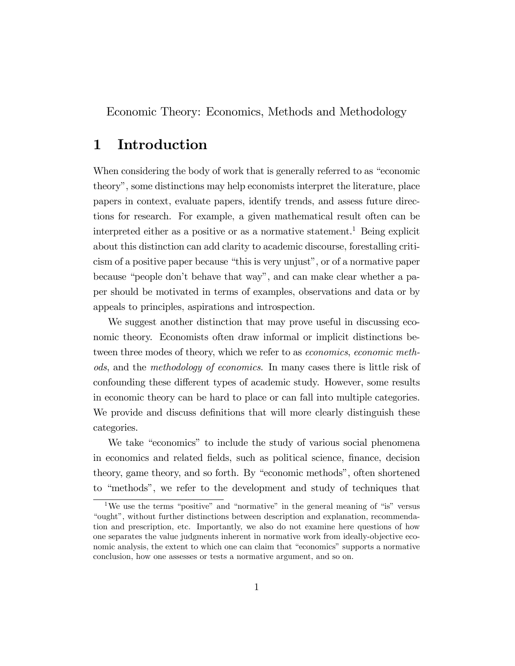Economic Theory: Economics, Methods and Methodology

# 1 Introduction

When considering the body of work that is generally referred to as "economic theoryî, some distinctions may help economists interpret the literature, place papers in context, evaluate papers, identify trends, and assess future directions for research. For example, a given mathematical result often can be interpreted either as a positive or as a normative statement.<sup>1</sup> Being explicit about this distinction can add clarity to academic discourse, forestalling criticism of a positive paper because "this is very unjust", or of a normative paper because "people don't behave that way", and can make clear whether a paper should be motivated in terms of examples, observations and data or by appeals to principles, aspirations and introspection.

We suggest another distinction that may prove useful in discussing economic theory. Economists often draw informal or implicit distinctions between three modes of theory, which we refer to as *economics*, *economic meth*ods, and the methodology of economics. In many cases there is little risk of confounding these different types of academic study. However, some results in economic theory can be hard to place or can fall into multiple categories. We provide and discuss definitions that will more clearly distinguish these categories.

We take "economics" to include the study of various social phenomena in economics and related fields, such as political science, finance, decision theory, game theory, and so forth. By "economic methods", often shortened to "methods", we refer to the development and study of techniques that

<sup>&</sup>lt;sup>1</sup>We use the terms "positive" and "normative" in the general meaning of "is" versus ìoughtî, without further distinctions between description and explanation, recommendation and prescription, etc. Importantly, we also do not examine here questions of how one separates the value judgments inherent in normative work from ideally-objective economic analysis, the extent to which one can claim that "economics" supports a normative conclusion, how one assesses or tests a normative argument, and so on.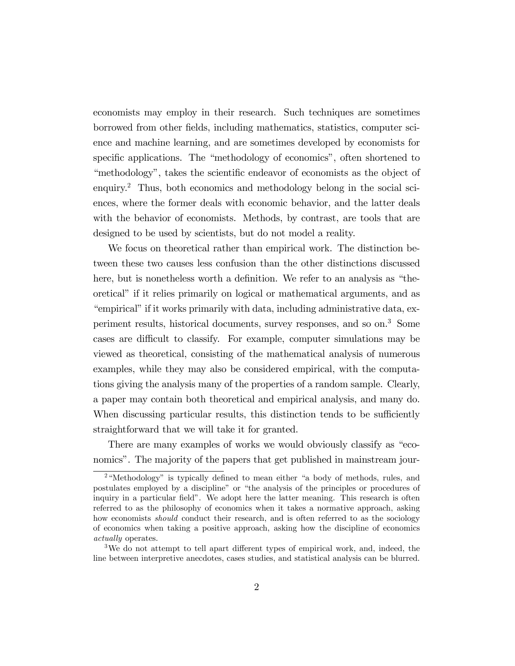economists may employ in their research. Such techniques are sometimes borrowed from other Öelds, including mathematics, statistics, computer science and machine learning, and are sometimes developed by economists for specific applications. The "methodology of economics", often shortened to "methodology", takes the scientific endeavor of economists as the object of enquiry.<sup>2</sup> Thus, both economics and methodology belong in the social sciences, where the former deals with economic behavior, and the latter deals with the behavior of economists. Methods, by contrast, are tools that are designed to be used by scientists, but do not model a reality.

We focus on theoretical rather than empirical work. The distinction between these two causes less confusion than the other distinctions discussed here, but is nonetheless worth a definition. We refer to an analysis as "theoretical" if it relies primarily on logical or mathematical arguments, and as "empirical" if it works primarily with data, including administrative data, experiment results, historical documents, survey responses, and so on.<sup>3</sup> Some cases are difficult to classify. For example, computer simulations may be viewed as theoretical, consisting of the mathematical analysis of numerous examples, while they may also be considered empirical, with the computations giving the analysis many of the properties of a random sample. Clearly, a paper may contain both theoretical and empirical analysis, and many do. When discussing particular results, this distinction tends to be sufficiently straightforward that we will take it for granted.

There are many examples of works we would obviously classify as "economics". The majority of the papers that get published in mainstream jour-

 $2$ <sup>a</sup>Methodology" is typically defined to mean either "a body of methods, rules, and postulates employed by a discipline" or "the analysis of the principles or procedures of inquiry in a particular field". We adopt here the latter meaning. This research is often referred to as the philosophy of economics when it takes a normative approach, asking how economists *should* conduct their research, and is often referred to as the sociology of economics when taking a positive approach, asking how the discipline of economics actually operates.

<sup>&</sup>lt;sup>3</sup>We do not attempt to tell apart different types of empirical work, and, indeed, the line between interpretive anecdotes, cases studies, and statistical analysis can be blurred.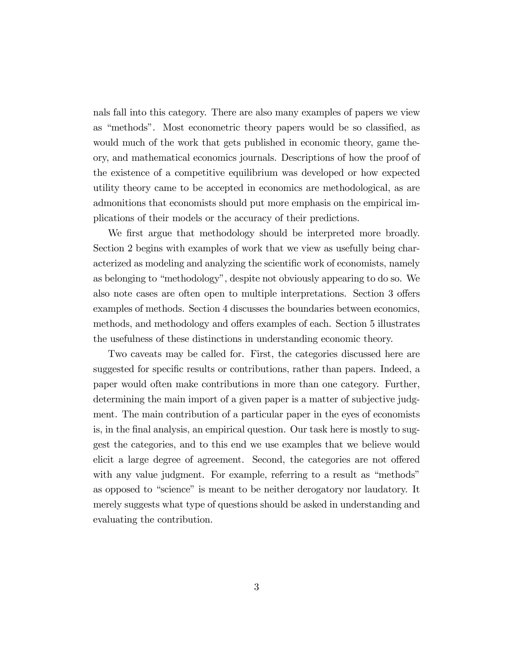nals fall into this category. There are also many examples of papers we view as "methods". Most econometric theory papers would be so classified, as would much of the work that gets published in economic theory, game theory, and mathematical economics journals. Descriptions of how the proof of the existence of a competitive equilibrium was developed or how expected utility theory came to be accepted in economics are methodological, as are admonitions that economists should put more emphasis on the empirical implications of their models or the accuracy of their predictions.

We first argue that methodology should be interpreted more broadly. Section 2 begins with examples of work that we view as usefully being characterized as modeling and analyzing the scientific work of economists, namely as belonging to "methodology", despite not obviously appearing to do so. We also note cases are often open to multiple interpretations. Section 3 offers examples of methods. Section 4 discusses the boundaries between economics, methods, and methodology and offers examples of each. Section 5 illustrates the usefulness of these distinctions in understanding economic theory.

Two caveats may be called for. First, the categories discussed here are suggested for specific results or contributions, rather than papers. Indeed, a paper would often make contributions in more than one category. Further, determining the main import of a given paper is a matter of subjective judgment. The main contribution of a particular paper in the eyes of economists is, in the Önal analysis, an empirical question. Our task here is mostly to suggest the categories, and to this end we use examples that we believe would elicit a large degree of agreement. Second, the categories are not offered with any value judgment. For example, referring to a result as "methods" as opposed to "science" is meant to be neither derogatory nor laudatory. It merely suggests what type of questions should be asked in understanding and evaluating the contribution.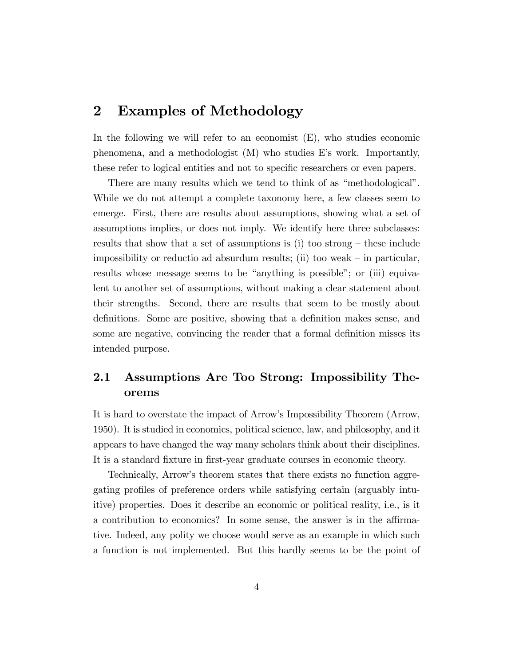# 2 Examples of Methodology

In the following we will refer to an economist  $(E)$ , who studies economic phenomena, and a methodologist  $(M)$  who studies E's work. Importantly, these refer to logical entities and not to specific researchers or even papers.

There are many results which we tend to think of as "methodological". While we do not attempt a complete taxonomy here, a few classes seem to emerge. First, there are results about assumptions, showing what a set of assumptions implies, or does not imply. We identify here three subclasses: results that show that a set of assumptions is (i) too strong  $-$  these include impossibility or reductio ad absurdum results; (ii) too weak  $-$  in particular, results whose message seems to be "anything is possible"; or (iii) equivalent to another set of assumptions, without making a clear statement about their strengths. Second, there are results that seem to be mostly about definitions. Some are positive, showing that a definition makes sense, and some are negative, convincing the reader that a formal definition misses its intended purpose.

# 2.1 Assumptions Are Too Strong: Impossibility Theorems

It is hard to overstate the impact of Arrowís Impossibility Theorem (Arrow, 1950). It is studied in economics, political science, law, and philosophy, and it appears to have changed the way many scholars think about their disciplines. It is a standard fixture in first-year graduate courses in economic theory.

Technically, Arrowís theorem states that there exists no function aggregating profiles of preference orders while satisfying certain (arguably intuitive) properties. Does it describe an economic or political reality, i.e., is it a contribution to economics? In some sense, the answer is in the affirmative. Indeed, any polity we choose would serve as an example in which such a function is not implemented. But this hardly seems to be the point of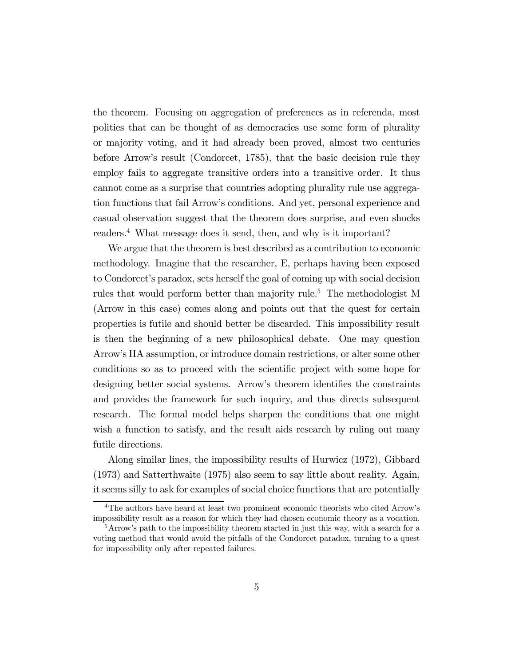the theorem. Focusing on aggregation of preferences as in referenda, most polities that can be thought of as democracies use some form of plurality or majority voting, and it had already been proved, almost two centuries before Arrowís result (Condorcet, 1785), that the basic decision rule they employ fails to aggregate transitive orders into a transitive order. It thus cannot come as a surprise that countries adopting plurality rule use aggregation functions that fail Arrowís conditions. And yet, personal experience and casual observation suggest that the theorem does surprise, and even shocks readers.<sup>4</sup> What message does it send, then, and why is it important?

We argue that the theorem is best described as a contribution to economic methodology. Imagine that the researcher, E, perhaps having been exposed to Condorcetís paradox, sets herself the goal of coming up with social decision rules that would perform better than majority rule.<sup>5</sup> The methodologist M (Arrow in this case) comes along and points out that the quest for certain properties is futile and should better be discarded. This impossibility result is then the beginning of a new philosophical debate. One may question Arrowís IIA assumption, or introduce domain restrictions, or alter some other conditions so as to proceed with the scientific project with some hope for designing better social systems. Arrow's theorem identifies the constraints and provides the framework for such inquiry, and thus directs subsequent research. The formal model helps sharpen the conditions that one might wish a function to satisfy, and the result aids research by ruling out many futile directions.

Along similar lines, the impossibility results of Hurwicz (1972), Gibbard (1973) and Satterthwaite (1975) also seem to say little about reality. Again, it seems silly to ask for examples of social choice functions that are potentially

<sup>&</sup>lt;sup>4</sup>The authors have heard at least two prominent economic theorists who cited Arrow's impossibility result as a reason for which they had chosen economic theory as a vocation.

 $5\,\text{Arrow's path to the impossibility theorem started in just this way, with a search for a$ voting method that would avoid the pitfalls of the Condorcet paradox, turning to a quest for impossibility only after repeated failures.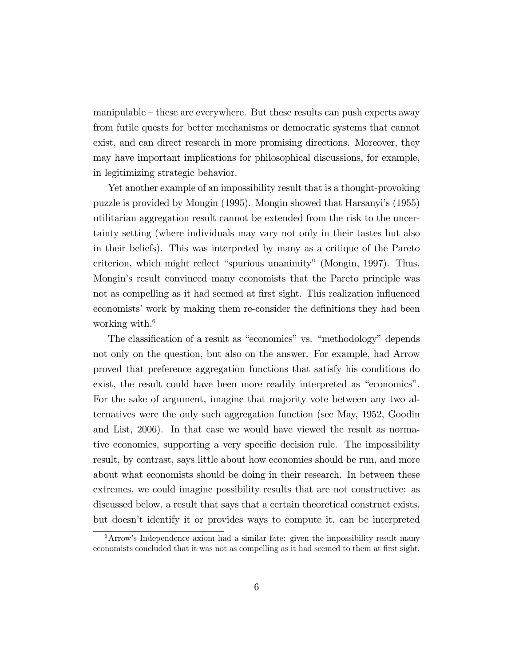manipulable  $-\theta$  these are everywhere. But these results can push experts away from futile quests for better mechanisms or democratic systems that cannot exist, and can direct research in more promising directions. Moreover, they may have important implications for philosophical discussions, for example, in legitimizing strategic behavior.

Yet another example of an impossibility result that is a thought-provoking puzzle is provided by Mongin (1995). Mongin showed that Harsanyiís (1955) utilitarian aggregation result cannot be extended from the risk to the uncertainty setting (where individuals may vary not only in their tastes but also in their beliefs). This was interpreted by many as a critique of the Pareto criterion, which might reflect "spurious unanimity" (Mongin, 1997). Thus, Mongin's result convinced many economists that the Pareto principle was not as compelling as it had seemed at first sight. This realization influenced economists' work by making them re-consider the definitions they had been working with. $6$ 

The classification of a result as "economics" vs. "methodology" depends not only on the question, but also on the answer. For example, had Arrow proved that preference aggregation functions that satisfy his conditions do exist, the result could have been more readily interpreted as "economics". For the sake of argument, imagine that majority vote between any two alternatives were the only such aggregation function (see May, 1952, Goodin and List, 2006). In that case we would have viewed the result as normative economics, supporting a very specific decision rule. The impossibility result, by contrast, says little about how economies should be run, and more about what economists should be doing in their research. In between these extremes, we could imagine possibility results that are not constructive: as discussed below, a result that says that a certain theoretical construct exists, but doesnít identify it or provides ways to compute it, can be interpreted

 $6$ Arrow's Independence axiom had a similar fate: given the impossibility result many economists concluded that it was not as compelling as it had seemed to them at first sight.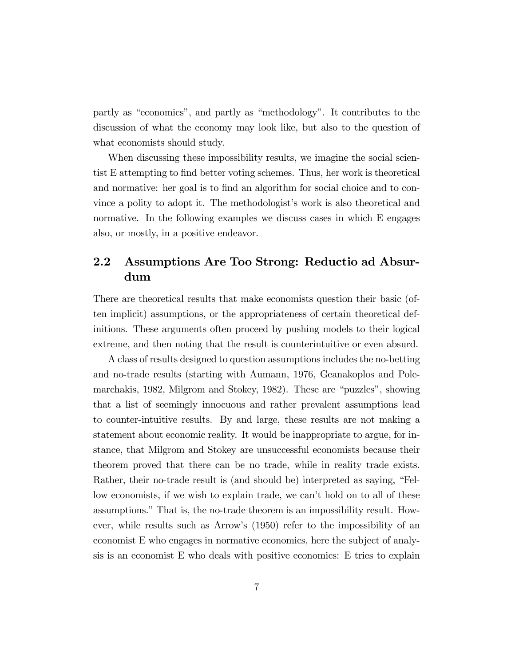partly as "economics", and partly as "methodology". It contributes to the discussion of what the economy may look like, but also to the question of what economists should study.

When discussing these impossibility results, we imagine the social scientist E attempting to Önd better voting schemes. Thus, her work is theoretical and normative: her goal is to find an algorithm for social choice and to convince a polity to adopt it. The methodologist's work is also theoretical and normative. In the following examples we discuss cases in which E engages also, or mostly, in a positive endeavor.

# 2.2 Assumptions Are Too Strong: Reductio ad Absurdum

There are theoretical results that make economists question their basic (often implicit) assumptions, or the appropriateness of certain theoretical definitions. These arguments often proceed by pushing models to their logical extreme, and then noting that the result is counterintuitive or even absurd.

A class of results designed to question assumptions includes the no-betting and no-trade results (starting with Aumann, 1976, Geanakoplos and Polemarchakis, 1982, Milgrom and Stokey, 1982). These are "puzzles", showing that a list of seemingly innocuous and rather prevalent assumptions lead to counter-intuitive results. By and large, these results are not making a statement about economic reality. It would be inappropriate to argue, for instance, that Milgrom and Stokey are unsuccessful economists because their theorem proved that there can be no trade, while in reality trade exists. Rather, their no-trade result is (and should be) interpreted as saying, "Fellow economists, if we wish to explain trade, we can't hold on to all of these assumptions." That is, the no-trade theorem is an impossibility result. However, while results such as Arrowís (1950) refer to the impossibility of an economist E who engages in normative economics, here the subject of analysis is an economist E who deals with positive economics: E tries to explain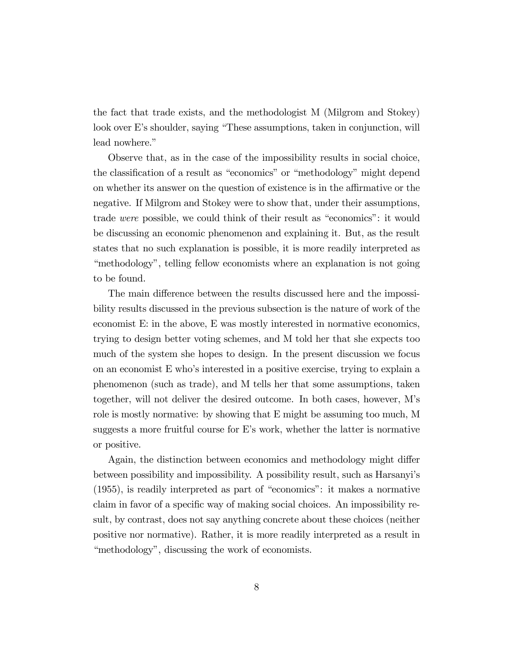the fact that trade exists, and the methodologist M (Milgrom and Stokey) look over E's shoulder, saying "These assumptions, taken in conjunction, will lead nowhere."

Observe that, as in the case of the impossibility results in social choice, the classification of a result as "economics" or "methodology" might depend on whether its answer on the question of existence is in the affirmative or the negative. If Milgrom and Stokey were to show that, under their assumptions, trade were possible, we could think of their result as "economics": it would be discussing an economic phenomenon and explaining it. But, as the result states that no such explanation is possible, it is more readily interpreted as ìmethodologyî, telling fellow economists where an explanation is not going to be found.

The main difference between the results discussed here and the impossibility results discussed in the previous subsection is the nature of work of the economist E: in the above, E was mostly interested in normative economics, trying to design better voting schemes, and M told her that she expects too much of the system she hopes to design. In the present discussion we focus on an economist E whoís interested in a positive exercise, trying to explain a phenomenon (such as trade), and M tells her that some assumptions, taken together, will not deliver the desired outcome. In both cases, however, Mís role is mostly normative: by showing that E might be assuming too much, M suggests a more fruitful course for Eís work, whether the latter is normative or positive.

Again, the distinction between economics and methodology might differ between possibility and impossibility. A possibility result, such as Harsanyiís  $(1955)$ , is readily interpreted as part of "economics": it makes a normative claim in favor of a specific way of making social choices. An impossibility result, by contrast, does not say anything concrete about these choices (neither positive nor normative). Rather, it is more readily interpreted as a result in "methodology", discussing the work of economists.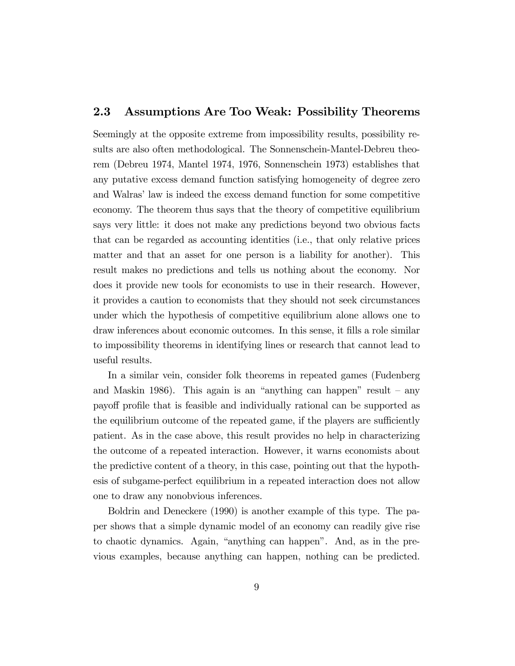#### 2.3 Assumptions Are Too Weak: Possibility Theorems

Seemingly at the opposite extreme from impossibility results, possibility results are also often methodological. The Sonnenschein-Mantel-Debreu theorem (Debreu 1974, Mantel 1974, 1976, Sonnenschein 1973) establishes that any putative excess demand function satisfying homogeneity of degree zero and Walras' law is indeed the excess demand function for some competitive economy. The theorem thus says that the theory of competitive equilibrium says very little: it does not make any predictions beyond two obvious facts that can be regarded as accounting identities (i.e., that only relative prices matter and that an asset for one person is a liability for another). This result makes no predictions and tells us nothing about the economy. Nor does it provide new tools for economists to use in their research. However, it provides a caution to economists that they should not seek circumstances under which the hypothesis of competitive equilibrium alone allows one to draw inferences about economic outcomes. In this sense, it Ölls a role similar to impossibility theorems in identifying lines or research that cannot lead to useful results.

In a similar vein, consider folk theorems in repeated games (Fudenberg and Maskin 1986). This again is an "anything can happen" result  $-$  any payoff profile that is feasible and individually rational can be supported as the equilibrium outcome of the repeated game, if the players are sufficiently patient. As in the case above, this result provides no help in characterizing the outcome of a repeated interaction. However, it warns economists about the predictive content of a theory, in this case, pointing out that the hypothesis of subgame-perfect equilibrium in a repeated interaction does not allow one to draw any nonobvious inferences.

Boldrin and Deneckere (1990) is another example of this type. The paper shows that a simple dynamic model of an economy can readily give rise to chaotic dynamics. Again, "anything can happen". And, as in the previous examples, because anything can happen, nothing can be predicted.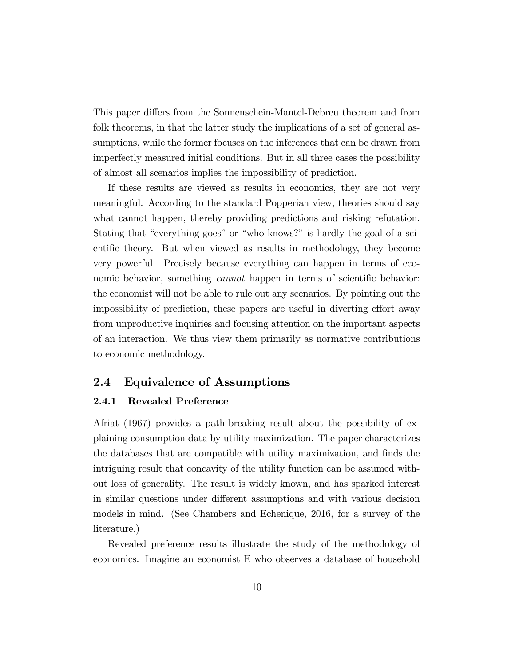This paper differs from the Sonnenschein-Mantel-Debreu theorem and from folk theorems, in that the latter study the implications of a set of general assumptions, while the former focuses on the inferences that can be drawn from imperfectly measured initial conditions. But in all three cases the possibility of almost all scenarios implies the impossibility of prediction.

If these results are viewed as results in economics, they are not very meaningful. According to the standard Popperian view, theories should say what cannot happen, thereby providing predictions and risking refutation. Stating that "everything goes" or "who knows?" is hardly the goal of a scientific theory. But when viewed as results in methodology, they become very powerful. Precisely because everything can happen in terms of economic behavior, something *cannot* happen in terms of scientific behavior: the economist will not be able to rule out any scenarios. By pointing out the impossibility of prediction, these papers are useful in diverting effort away from unproductive inquiries and focusing attention on the important aspects of an interaction. We thus view them primarily as normative contributions to economic methodology.

#### **Equivalence of Assumptions**  $2.4$

#### **Revealed Preference** 2.4.1

Afriat (1967) provides a path-breaking result about the possibility of explaining consumption data by utility maximization. The paper characterizes the databases that are compatible with utility maximization, and finds the intriguing result that concavity of the utility function can be assumed without loss of generality. The result is widely known, and has sparked interest in similar questions under different assumptions and with various decision models in mind. (See Chambers and Echenique, 2016, for a survey of the literature.)

Revealed preference results illustrate the study of the methodology of economics. Imagine an economist E who observes a database of household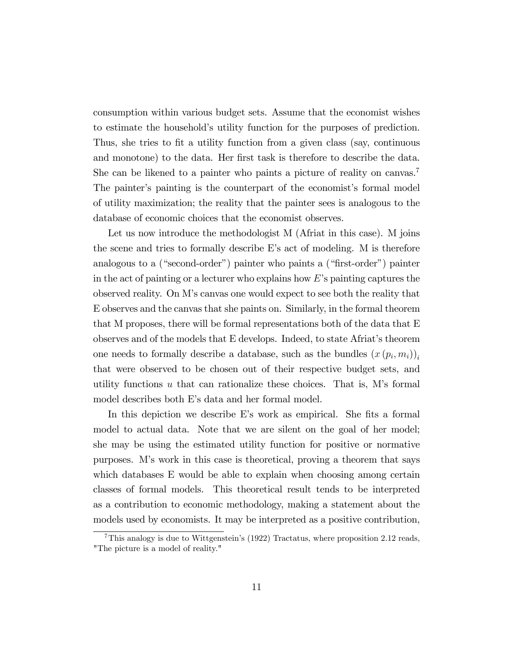consumption within various budget sets. Assume that the economist wishes to estimate the householdís utility function for the purposes of prediction. Thus, she tries to fit a utility function from a given class (say, continuous and monotone) to the data. Her first task is therefore to describe the data. She can be likened to a painter who paints a picture of reality on canvas.<sup>7</sup> The painter's painting is the counterpart of the economist's formal model of utility maximization; the reality that the painter sees is analogous to the database of economic choices that the economist observes.

Let us now introduce the methodologist M (Afriat in this case). M joins the scene and tries to formally describe Eís act of modeling. M is therefore analogous to a ("second-order") painter who paints a ("first-order") painter in the act of painting or a lecturer who explains how  $E$ 's painting captures the observed reality. On Mís canvas one would expect to see both the reality that E observes and the canvas that she paints on. Similarly, in the formal theorem that M proposes, there will be formal representations both of the data that E observes and of the models that E develops. Indeed, to state Afriatís theorem one needs to formally describe a database, such as the bundles  $(x(p_i, m_i))_i$ that were observed to be chosen out of their respective budget sets, and utility functions  $u$  that can rationalize these choices. That is, M's formal model describes both E's data and her formal model.

In this depiction we describe E's work as empirical. She fits a formal model to actual data. Note that we are silent on the goal of her model; she may be using the estimated utility function for positive or normative purposes. Mís work in this case is theoretical, proving a theorem that says which databases E would be able to explain when choosing among certain classes of formal models. This theoretical result tends to be interpreted as a contribution to economic methodology, making a statement about the models used by economists. It may be interpreted as a positive contribution,

<sup>&</sup>lt;sup>7</sup>This analogy is due to Wittgenstein's (1922) Tractatus, where proposition 2.12 reads, "The picture is a model of reality."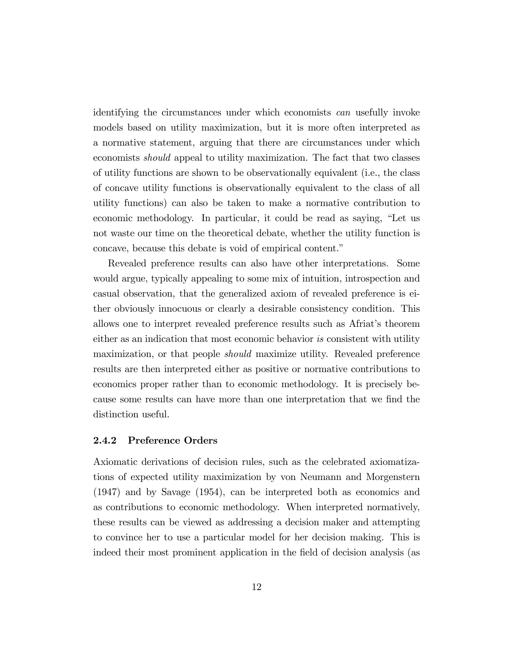identifying the circumstances under which economists can usefully invoke models based on utility maximization, but it is more often interpreted as a normative statement, arguing that there are circumstances under which economists should appeal to utility maximization. The fact that two classes of utility functions are shown to be observationally equivalent (i.e., the class of concave utility functions is observationally equivalent to the class of all utility functions) can also be taken to make a normative contribution to economic methodology. In particular, it could be read as saying, "Let us not waste our time on the theoretical debate, whether the utility function is concave, because this debate is void of empirical content."

Revealed preference results can also have other interpretations. Some would argue, typically appealing to some mix of intuition, introspection and casual observation, that the generalized axiom of revealed preference is either obviously innocuous or clearly a desirable consistency condition. This allows one to interpret revealed preference results such as Africat's theorem either as an indication that most economic behavior is consistent with utility maximization, or that people should maximize utility. Revealed preference results are then interpreted either as positive or normative contributions to economics proper rather than to economic methodology. It is precisely because some results can have more than one interpretation that we find the distinction useful.

#### 2.4.2 Preference Orders

Axiomatic derivations of decision rules, such as the celebrated axiomatizations of expected utility maximization by von Neumann and Morgenstern (1947) and by Savage (1954), can be interpreted both as economics and as contributions to economic methodology. When interpreted normatively, these results can be viewed as addressing a decision maker and attempting to convince her to use a particular model for her decision making. This is indeed their most prominent application in the field of decision analysis (as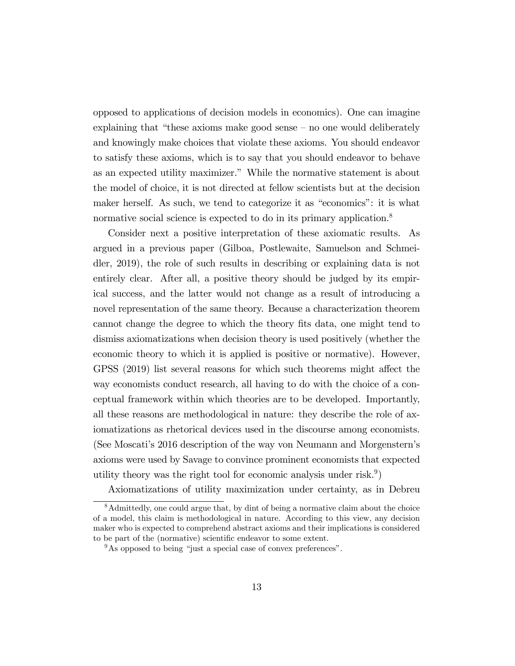opposed to applications of decision models in economics). One can imagine explaining that "these axioms make good sense  $-$  no one would deliberately and knowingly make choices that violate these axioms. You should endeavor to satisfy these axioms, which is to say that you should endeavor to behave as an expected utility maximizer." While the normative statement is about the model of choice, it is not directed at fellow scientists but at the decision maker herself. As such, we tend to categorize it as "economics": it is what normative social science is expected to do in its primary application.<sup>8</sup>

Consider next a positive interpretation of these axiomatic results. As argued in a previous paper (Gilboa, Postlewaite, Samuelson and Schmeidler, 2019), the role of such results in describing or explaining data is not entirely clear. After all, a positive theory should be judged by its empirical success, and the latter would not change as a result of introducing a novel representation of the same theory. Because a characterization theorem cannot change the degree to which the theory fits data, one might tend to dismiss axiomatizations when decision theory is used positively (whether the economic theory to which it is applied is positive or normative). However, GPSS (2019) list several reasons for which such theorems might affect the way economists conduct research, all having to do with the choice of a conceptual framework within which theories are to be developed. Importantly, all these reasons are methodological in nature: they describe the role of axiomatizations as rhetorical devices used in the discourse among economists. (See Moscatiís 2016 description of the way von Neumann and Morgensternís axioms were used by Savage to convince prominent economists that expected utility theory was the right tool for economic analysis under risk.<sup>9</sup>)

Axiomatizations of utility maximization under certainty, as in Debreu

<sup>8</sup>Admittedly, one could argue that, by dint of being a normative claim about the choice of a model, this claim is methodological in nature. According to this view, any decision maker who is expected to comprehend abstract axioms and their implications is considered to be part of the (normative) scientific endeavor to some extent.

 $9^9$ As opposed to being "just a special case of convex preferences".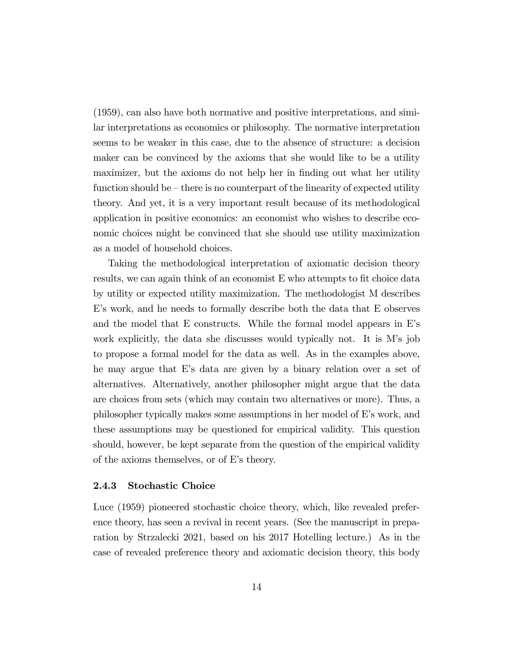(1959), can also have both normative and positive interpretations, and similar interpretations as economics or philosophy. The normative interpretation seems to be weaker in this case, due to the absence of structure: a decision maker can be convinced by the axioms that she would like to be a utility maximizer, but the axioms do not help her in finding out what her utility function should be  $-\theta$  there is no counterpart of the linearity of expected utility theory. And yet, it is a very important result because of its methodological application in positive economics: an economist who wishes to describe economic choices might be convinced that she should use utility maximization as a model of household choices.

Taking the methodological interpretation of axiomatic decision theory results, we can again think of an economist E who attempts to fit choice data by utility or expected utility maximization. The methodologist M describes Eís work, and he needs to formally describe both the data that E observes and the model that E constructs. While the formal model appears in Eís work explicitly, the data she discusses would typically not. It is M's job to propose a formal model for the data as well. As in the examples above, he may argue that Eís data are given by a binary relation over a set of alternatives. Alternatively, another philosopher might argue that the data are choices from sets (which may contain two alternatives or more). Thus, a philosopher typically makes some assumptions in her model of Eís work, and these assumptions may be questioned for empirical validity. This question should, however, be kept separate from the question of the empirical validity of the axioms themselves, or of  $E$ 's theory.

#### 2.4.3 Stochastic Choice

Luce (1959) pioneered stochastic choice theory, which, like revealed preference theory, has seen a revival in recent years. (See the manuscript in preparation by Strzalecki 2021, based on his 2017 Hotelling lecture.) As in the case of revealed preference theory and axiomatic decision theory, this body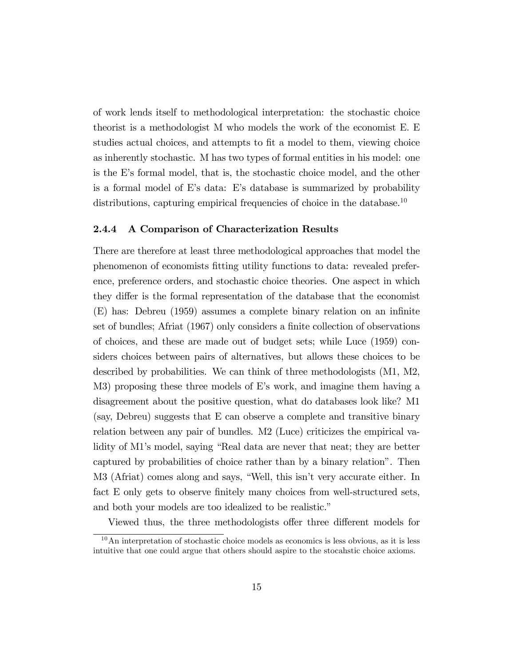of work lends itself to methodological interpretation: the stochastic choice theorist is a methodologist M who models the work of the economist E. E studies actual choices, and attempts to fit a model to them, viewing choice as inherently stochastic. M has two types of formal entities in his model: one is the E's formal model, that is, the stochastic choice model, and the other is a formal model of Eís data: Eís database is summarized by probability distributions, capturing empirical frequencies of choice in the database.<sup>10</sup>

#### 2.4.4 A Comparison of Characterization Results

There are therefore at least three methodological approaches that model the phenomenon of economists Ötting utility functions to data: revealed preference, preference orders, and stochastic choice theories. One aspect in which they differ is the formal representation of the database that the economist (E) has: Debreu (1959) assumes a complete binary relation on an inÖnite set of bundles; Afriat (1967) only considers a finite collection of observations of choices, and these are made out of budget sets; while Luce (1959) considers choices between pairs of alternatives, but allows these choices to be described by probabilities. We can think of three methodologists (M1, M2, M3) proposing these three models of E's work, and imagine them having a disagreement about the positive question, what do databases look like? M1 (say, Debreu) suggests that E can observe a complete and transitive binary relation between any pair of bundles. M2 (Luce) criticizes the empirical validity of M1's model, saying "Real data are never that neat; they are better captured by probabilities of choice rather than by a binary relationî. Then M3 (Afriat) comes along and says, "Well, this isn't very accurate either. In fact E only gets to observe finitely many choices from well-structured sets, and both your models are too idealized to be realistic."

Viewed thus, the three methodologists offer three different models for

 $10$ An interpretation of stochastic choice models as economics is less obvious, as it is less intuitive that one could argue that others should aspire to the stocahstic choice axioms.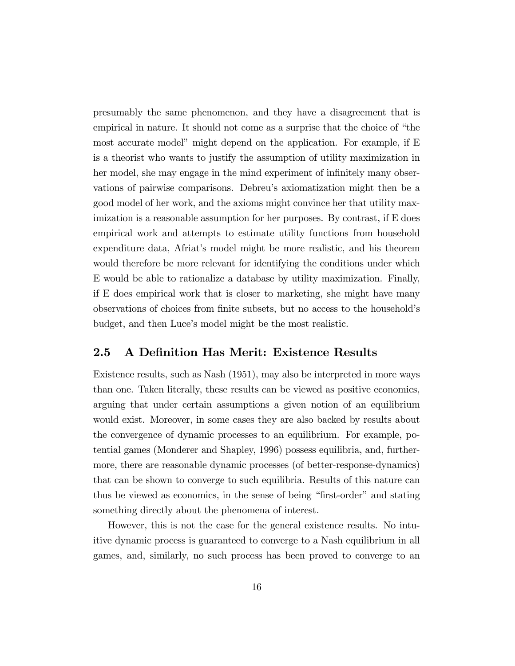presumably the same phenomenon, and they have a disagreement that is empirical in nature. It should not come as a surprise that the choice of "the most accurate model" might depend on the application. For example, if E is a theorist who wants to justify the assumption of utility maximization in her model, she may engage in the mind experiment of infinitely many observations of pairwise comparisons. Debreuís axiomatization might then be a good model of her work, and the axioms might convince her that utility maximization is a reasonable assumption for her purposes. By contrast, if E does empirical work and attempts to estimate utility functions from household expenditure data, Afriatís model might be more realistic, and his theorem would therefore be more relevant for identifying the conditions under which E would be able to rationalize a database by utility maximization. Finally, if E does empirical work that is closer to marketing, she might have many observations of choices from finite subsets, but no access to the household's budget, and then Luce's model might be the most realistic.

### 2.5 A Definition Has Merit: Existence Results

Existence results, such as Nash (1951), may also be interpreted in more ways than one. Taken literally, these results can be viewed as positive economics, arguing that under certain assumptions a given notion of an equilibrium would exist. Moreover, in some cases they are also backed by results about the convergence of dynamic processes to an equilibrium. For example, potential games (Monderer and Shapley, 1996) possess equilibria, and, furthermore, there are reasonable dynamic processes (of better-response-dynamics) that can be shown to converge to such equilibria. Results of this nature can thus be viewed as economics, in the sense of being "first-order" and stating something directly about the phenomena of interest.

However, this is not the case for the general existence results. No intuitive dynamic process is guaranteed to converge to a Nash equilibrium in all games, and, similarly, no such process has been proved to converge to an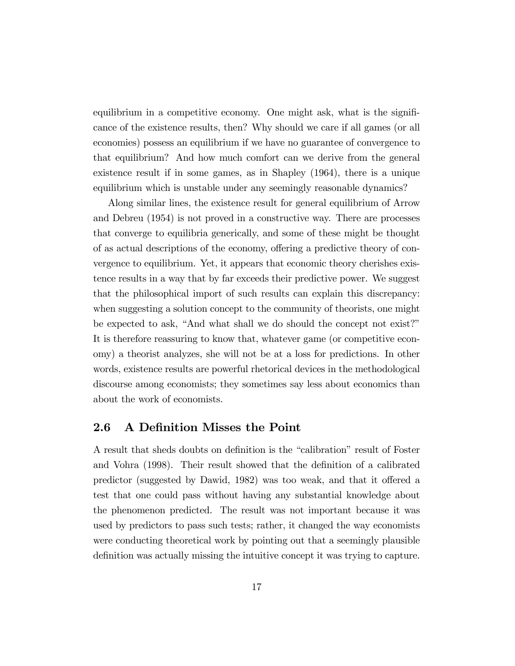equilibrium in a competitive economy. One might ask, what is the significance of the existence results, then? Why should we care if all games (or all economies) possess an equilibrium if we have no guarantee of convergence to that equilibrium? And how much comfort can we derive from the general existence result if in some games, as in Shapley (1964), there is a unique equilibrium which is unstable under any seemingly reasonable dynamics?

Along similar lines, the existence result for general equilibrium of Arrow and Debreu (1954) is not proved in a constructive way. There are processes that converge to equilibria generically, and some of these might be thought of as actual descriptions of the economy, offering a predictive theory of convergence to equilibrium. Yet, it appears that economic theory cherishes existence results in a way that by far exceeds their predictive power. We suggest that the philosophical import of such results can explain this discrepancy: when suggesting a solution concept to the community of theorists, one might be expected to ask, "And what shall we do should the concept not exist?" It is therefore reassuring to know that, whatever game (or competitive economy) a theorist analyzes, she will not be at a loss for predictions. In other words, existence results are powerful rhetorical devices in the methodological discourse among economists; they sometimes say less about economics than about the work of economists.

#### 2.6 A Definition Misses the Point

A result that sheds doubts on definition is the "calibration" result of Foster and Vohra (1998). Their result showed that the definition of a calibrated predictor (suggested by Dawid, 1982) was too weak, and that it offered a test that one could pass without having any substantial knowledge about the phenomenon predicted. The result was not important because it was used by predictors to pass such tests; rather, it changed the way economists were conducting theoretical work by pointing out that a seemingly plausible definition was actually missing the intuitive concept it was trying to capture.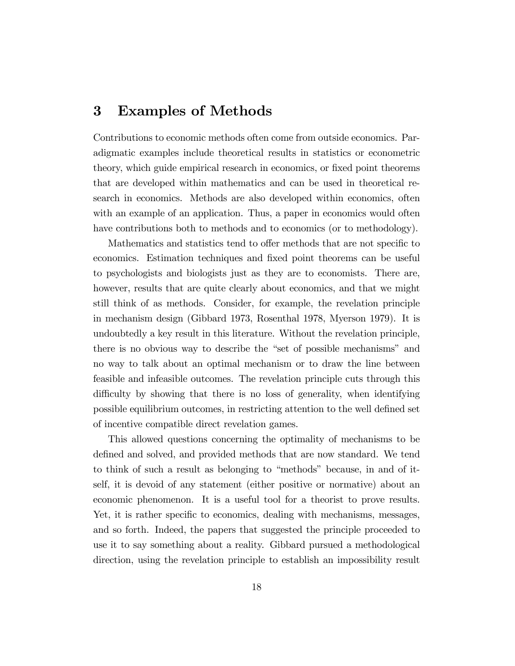# 3 Examples of Methods

Contributions to economic methods often come from outside economics. Paradigmatic examples include theoretical results in statistics or econometric theory, which guide empirical research in economics, or fixed point theorems that are developed within mathematics and can be used in theoretical research in economics. Methods are also developed within economics, often with an example of an application. Thus, a paper in economics would often have contributions both to methods and to economics (or to methodology).

Mathematics and statistics tend to offer methods that are not specific to economics. Estimation techniques and Öxed point theorems can be useful to psychologists and biologists just as they are to economists. There are, however, results that are quite clearly about economics, and that we might still think of as methods. Consider, for example, the revelation principle in mechanism design (Gibbard 1973, Rosenthal 1978, Myerson 1979). It is undoubtedly a key result in this literature. Without the revelation principle, there is no obvious way to describe the "set of possible mechanisms" and no way to talk about an optimal mechanism or to draw the line between feasible and infeasible outcomes. The revelation principle cuts through this difficulty by showing that there is no loss of generality, when identifying possible equilibrium outcomes, in restricting attention to the well defined set of incentive compatible direct revelation games.

This allowed questions concerning the optimality of mechanisms to be defined and solved, and provided methods that are now standard. We tend to think of such a result as belonging to "methods" because, in and of itself, it is devoid of any statement (either positive or normative) about an economic phenomenon. It is a useful tool for a theorist to prove results. Yet, it is rather specific to economics, dealing with mechanisms, messages, and so forth. Indeed, the papers that suggested the principle proceeded to use it to say something about a reality. Gibbard pursued a methodological direction, using the revelation principle to establish an impossibility result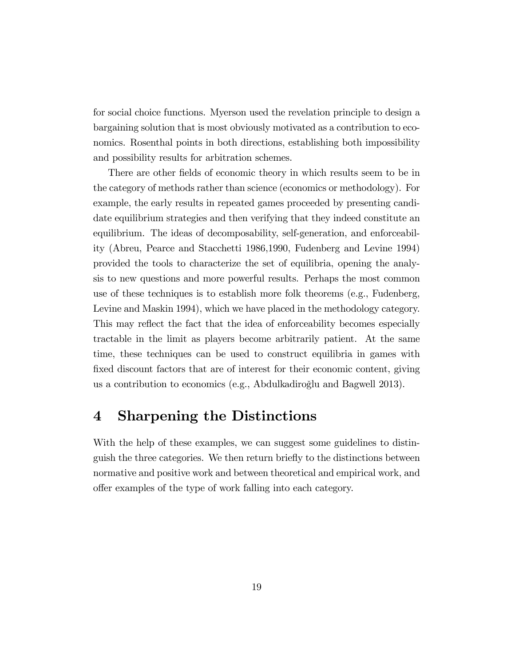for social choice functions. Myerson used the revelation principle to design a bargaining solution that is most obviously motivated as a contribution to economics. Rosenthal points in both directions, establishing both impossibility and possibility results for arbitration schemes.

There are other fields of economic theory in which results seem to be in the category of methods rather than science (economics or methodology). For example, the early results in repeated games proceeded by presenting candidate equilibrium strategies and then verifying that they indeed constitute an equilibrium. The ideas of decomposability, self-generation, and enforceability (Abreu, Pearce and Stacchetti 1986,1990, Fudenberg and Levine 1994) provided the tools to characterize the set of equilibria, opening the analysis to new questions and more powerful results. Perhaps the most common use of these techniques is to establish more folk theorems (e.g., Fudenberg, Levine and Maskin 1994), which we have placed in the methodology category. This may reflect the fact that the idea of enforceability becomes especially tractable in the limit as players become arbitrarily patient. At the same time, these techniques can be used to construct equilibria in games with fixed discount factors that are of interest for their economic content, giving us a contribution to economics (e.g., Abdulkadiroğlu and Bagwell 2013).

# 4 Sharpening the Distinctions

With the help of these examples, we can suggest some guidelines to distinguish the three categories. We then return brieáy to the distinctions between normative and positive work and between theoretical and empirical work, and offer examples of the type of work falling into each category.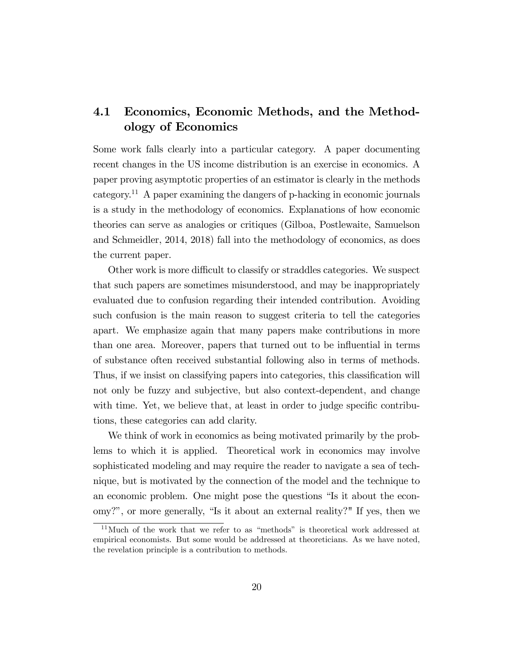# 4.1 Economics, Economic Methods, and the Methodology of Economics

Some work falls clearly into a particular category. A paper documenting recent changes in the US income distribution is an exercise in economics. A paper proving asymptotic properties of an estimator is clearly in the methods category.<sup>11</sup> A paper examining the dangers of p-hacking in economic journals is a study in the methodology of economics. Explanations of how economic theories can serve as analogies or critiques (Gilboa, Postlewaite, Samuelson and Schmeidler, 2014, 2018) fall into the methodology of economics, as does the current paper.

Other work is more difficult to classify or straddles categories. We suspect that such papers are sometimes misunderstood, and may be inappropriately evaluated due to confusion regarding their intended contribution. Avoiding such confusion is the main reason to suggest criteria to tell the categories apart. We emphasize again that many papers make contributions in more than one area. Moreover, papers that turned out to be influential in terms of substance often received substantial following also in terms of methods. Thus, if we insist on classifying papers into categories, this classification will not only be fuzzy and subjective, but also context-dependent, and change with time. Yet, we believe that, at least in order to judge specific contributions, these categories can add clarity.

We think of work in economics as being motivated primarily by the problems to which it is applied. Theoretical work in economics may involve sophisticated modeling and may require the reader to navigate a sea of technique, but is motivated by the connection of the model and the technique to an economic problem. One might pose the questions "Is it about the economy?", or more generally, "Is it about an external reality?" If yes, then we

 $11$ Much of the work that we refer to as "methods" is theoretical work addressed at empirical economists. But some would be addressed at theoreticians. As we have noted, the revelation principle is a contribution to methods.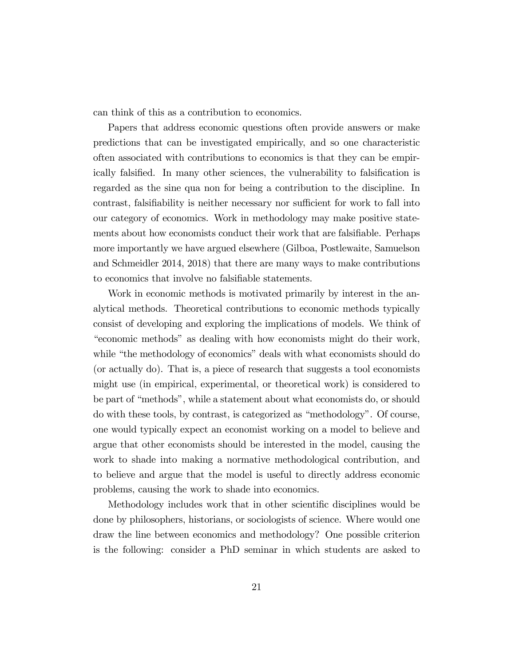can think of this as a contribution to economics.

Papers that address economic questions often provide answers or make predictions that can be investigated empirically, and so one characteristic often associated with contributions to economics is that they can be empirically falsified. In many other sciences, the vulnerability to falsification is regarded as the sine qua non for being a contribution to the discipline. In contrast, falsifiability is neither necessary nor sufficient for work to fall into our category of economics. Work in methodology may make positive statements about how economists conduct their work that are falsifiable. Perhaps more importantly we have argued elsewhere (Gilboa, Postlewaite, Samuelson and Schmeidler 2014, 2018) that there are many ways to make contributions to economics that involve no falsifiable statements.

Work in economic methods is motivated primarily by interest in the analytical methods. Theoretical contributions to economic methods typically consist of developing and exploring the implications of models. We think of ìeconomic methodsî as dealing with how economists might do their work, while "the methodology of economics" deals with what economists should do (or actually do). That is, a piece of research that suggests a tool economists might use (in empirical, experimental, or theoretical work) is considered to be part of "methods", while a statement about what economists do, or should do with these tools, by contrast, is categorized as "methodology". Of course, one would typically expect an economist working on a model to believe and argue that other economists should be interested in the model, causing the work to shade into making a normative methodological contribution, and to believe and argue that the model is useful to directly address economic problems, causing the work to shade into economics.

Methodology includes work that in other scientific disciplines would be done by philosophers, historians, or sociologists of science. Where would one draw the line between economics and methodology? One possible criterion is the following: consider a PhD seminar in which students are asked to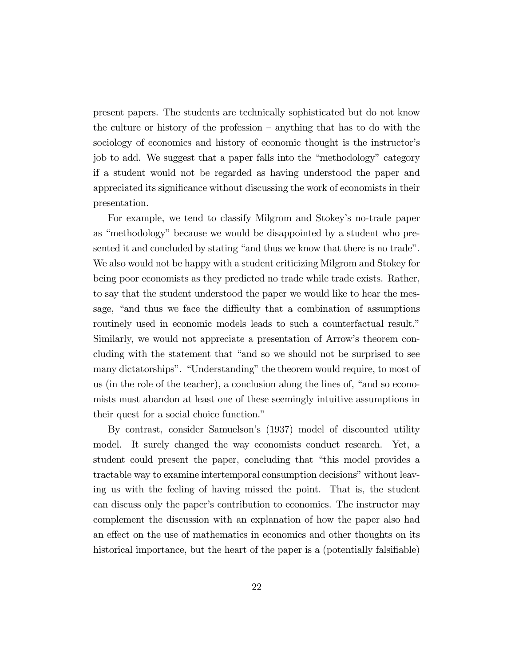present papers. The students are technically sophisticated but do not know the culture or history of the profession  $-$  anything that has to do with the sociology of economics and history of economic thought is the instructor's job to add. We suggest that a paper falls into the "methodology" category if a student would not be regarded as having understood the paper and appreciated its significance without discussing the work of economists in their presentation.

For example, we tend to classify Milgrom and Stokey's no-trade paper as "methodology" because we would be disappointed by a student who presented it and concluded by stating "and thus we know that there is no trade". We also would not be happy with a student criticizing Milgrom and Stokey for being poor economists as they predicted no trade while trade exists. Rather, to say that the student understood the paper we would like to hear the message, "and thus we face the difficulty that a combination of assumptions routinely used in economic models leads to such a counterfactual result." Similarly, we would not appreciate a presentation of Arrow's theorem concluding with the statement that "and so we should not be surprised to see many dictatorships". "Understanding" the theorem would require, to most of us (in the role of the teacher), a conclusion along the lines of,  $\hat{}$  and so economists must abandon at least one of these seemingly intuitive assumptions in their quest for a social choice function."

By contrast, consider Samuelson's (1937) model of discounted utility model. It surely changed the way economists conduct research. Yet, a student could present the paper, concluding that "this model provides a tractable way to examine intertemporal consumption decisions" without leaving us with the feeling of having missed the point. That is, the student can discuss only the paperís contribution to economics. The instructor may complement the discussion with an explanation of how the paper also had an effect on the use of mathematics in economics and other thoughts on its historical importance, but the heart of the paper is a (potentially falsifiable)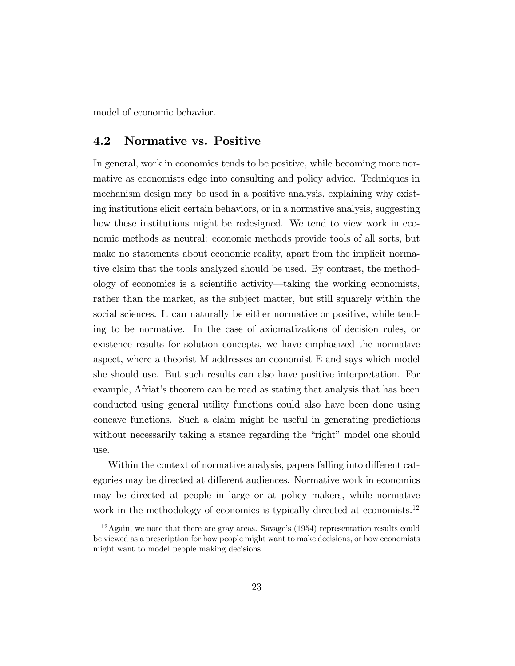model of economic behavior.

#### 4.2 Normative vs. Positive

In general, work in economics tends to be positive, while becoming more normative as economists edge into consulting and policy advice. Techniques in mechanism design may be used in a positive analysis, explaining why existing institutions elicit certain behaviors, or in a normative analysis, suggesting how these institutions might be redesigned. We tend to view work in economic methods as neutral: economic methods provide tools of all sorts, but make no statements about economic reality, apart from the implicit normative claim that the tools analyzed should be used. By contrast, the methodology of economics is a scientific activity—taking the working economists, rather than the market, as the subject matter, but still squarely within the social sciences. It can naturally be either normative or positive, while tending to be normative. In the case of axiomatizations of decision rules, or existence results for solution concepts, we have emphasized the normative aspect, where a theorist M addresses an economist E and says which model she should use. But such results can also have positive interpretation. For example, Afriat's theorem can be read as stating that analysis that has been conducted using general utility functions could also have been done using concave functions. Such a claim might be useful in generating predictions without necessarily taking a stance regarding the "right" model one should use.

Within the context of normative analysis, papers falling into different categories may be directed at different audiences. Normative work in economics may be directed at people in large or at policy makers, while normative work in the methodology of economics is typically directed at economists.<sup>12</sup>

 $12$ Again, we note that there are gray areas. Savage's (1954) representation results could be viewed as a prescription for how people might want to make decisions, or how economists might want to model people making decisions.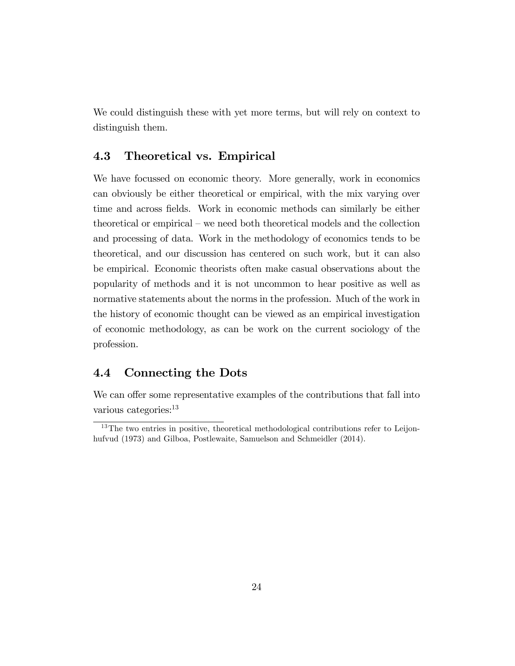We could distinguish these with yet more terms, but will rely on context to distinguish them.

### 4.3 Theoretical vs. Empirical

We have focussed on economic theory. More generally, work in economics can obviously be either theoretical or empirical, with the mix varying over time and across fields. Work in economic methods can similarly be either theoretical or empirical – we need both theoretical models and the collection and processing of data. Work in the methodology of economics tends to be theoretical, and our discussion has centered on such work, but it can also be empirical. Economic theorists often make casual observations about the popularity of methods and it is not uncommon to hear positive as well as normative statements about the norms in the profession. Much of the work in the history of economic thought can be viewed as an empirical investigation of economic methodology, as can be work on the current sociology of the profession.

### 4.4 Connecting the Dots

We can offer some representative examples of the contributions that fall into various categories:<sup>13</sup>

<sup>&</sup>lt;sup>13</sup>The two entries in positive, theoretical methodological contributions refer to Leijonhufvud (1973) and Gilboa, Postlewaite, Samuelson and Schmeidler (2014).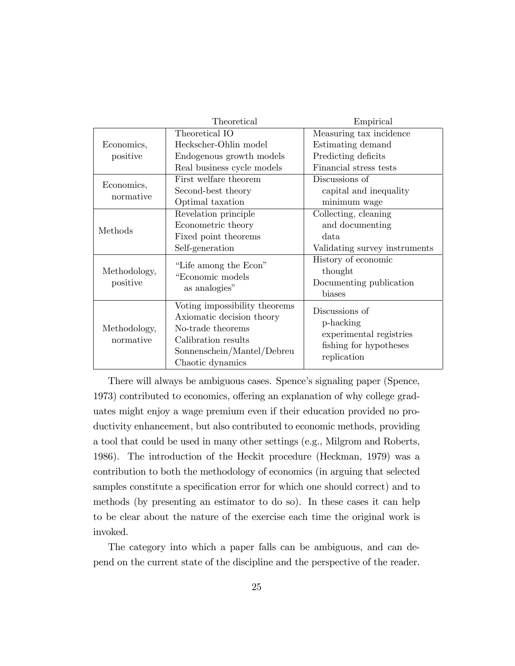|                           | Theoretical                                                                                                                                              | Empirical                                                                                       |
|---------------------------|----------------------------------------------------------------------------------------------------------------------------------------------------------|-------------------------------------------------------------------------------------------------|
| Economics,<br>positive    | Theoretical IO                                                                                                                                           | Measuring tax incidence                                                                         |
|                           | Heckscher-Ohlin model                                                                                                                                    | Estimating demand                                                                               |
|                           | Endogenous growth models                                                                                                                                 | Predicting deficits                                                                             |
|                           | Real business cycle models                                                                                                                               | Financial stress tests                                                                          |
| Economics,<br>normative   | First welfare theorem                                                                                                                                    | Discussions of                                                                                  |
|                           | Second-best theory                                                                                                                                       | capital and inequality                                                                          |
|                           | Optimal taxation                                                                                                                                         | minimum wage                                                                                    |
| Methods                   | Revelation principle                                                                                                                                     | Collecting, cleaning                                                                            |
|                           | Econometric theory                                                                                                                                       | and documenting                                                                                 |
|                           | Fixed point theorems                                                                                                                                     | data                                                                                            |
|                           | Self-generation                                                                                                                                          | Validating survey instruments                                                                   |
| Methodology,<br>positive  | "Life among the Econ"<br>"Economic models<br>as analogies"                                                                                               | History of economic<br>thought<br>Documenting publication<br>biases                             |
| Methodology,<br>normative | Voting impossibility theorems<br>Axiomatic decision theory<br>No-trade theorems<br>Calibration results<br>Sonnenschein/Mantel/Debreu<br>Chaotic dynamics | Discussions of<br>p-hacking<br>experimental registries<br>fishing for hypotheses<br>replication |

There will always be ambiguous cases. Spence's signaling paper (Spence, 1973) contributed to economics, offering an explanation of why college graduates might enjoy a wage premium even if their education provided no productivity enhancement, but also contributed to economic methods, providing a tool that could be used in many other settings (e.g., Milgrom and Roberts, 1986). The introduction of the Heckit procedure (Heckman, 1979) was a contribution to both the methodology of economics (in arguing that selected samples constitute a specification error for which one should correct) and to methods (by presenting an estimator to do so). In these cases it can help to be clear about the nature of the exercise each time the original work is invoked.

The category into which a paper falls can be ambiguous, and can depend on the current state of the discipline and the perspective of the reader.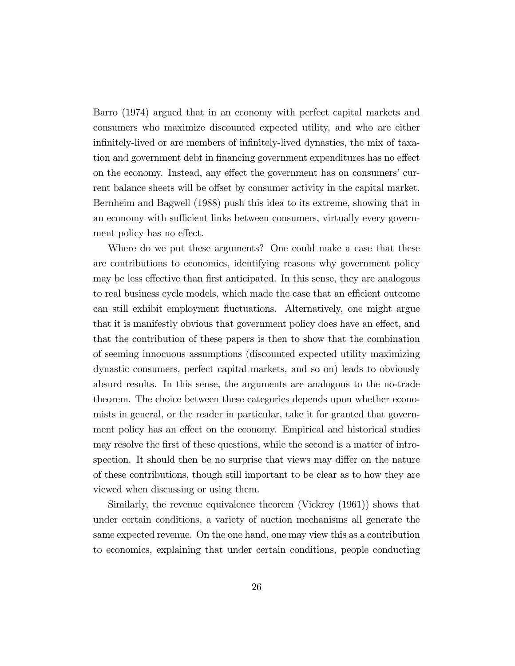Barro (1974) argued that in an economy with perfect capital markets and consumers who maximize discounted expected utility, and who are either infinitely-lived or are members of infinitely-lived dynasties, the mix of taxation and government debt in financing government expenditures has no effect on the economy. Instead, any effect the government has on consumers' current balance sheets will be offset by consumer activity in the capital market. Bernheim and Bagwell (1988) push this idea to its extreme, showing that in an economy with sufficient links between consumers, virtually every government policy has no effect.

Where do we put these arguments? One could make a case that these are contributions to economics, identifying reasons why government policy may be less effective than first anticipated. In this sense, they are analogous to real business cycle models, which made the case that an efficient outcome can still exhibit employment fluctuations. Alternatively, one might argue that it is manifestly obvious that government policy does have an effect, and that the contribution of these papers is then to show that the combination of seeming innocuous assumptions (discounted expected utility maximizing dynastic consumers, perfect capital markets, and so on) leads to obviously absurd results. In this sense, the arguments are analogous to the no-trade theorem. The choice between these categories depends upon whether economists in general, or the reader in particular, take it for granted that government policy has an effect on the economy. Empirical and historical studies may resolve the first of these questions, while the second is a matter of introspection. It should then be no surprise that views may differ on the nature of these contributions, though still important to be clear as to how they are viewed when discussing or using them.

Similarly, the revenue equivalence theorem (Vickrey (1961)) shows that under certain conditions, a variety of auction mechanisms all generate the same expected revenue. On the one hand, one may view this as a contribution to economics, explaining that under certain conditions, people conducting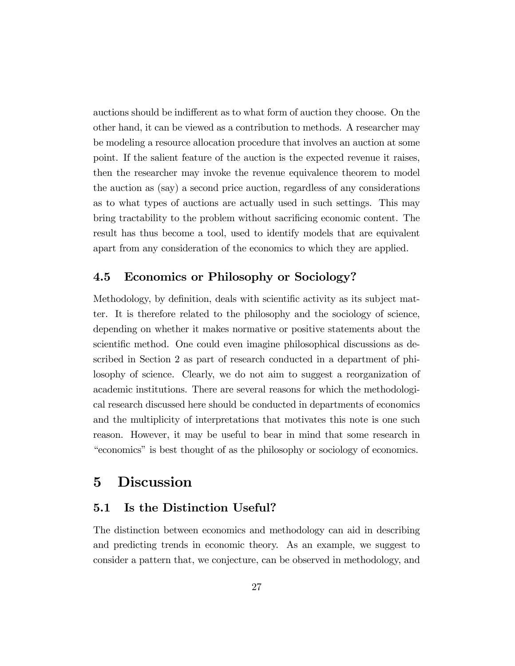auctions should be indifferent as to what form of auction they choose. On the other hand, it can be viewed as a contribution to methods. A researcher may be modeling a resource allocation procedure that involves an auction at some point. If the salient feature of the auction is the expected revenue it raises, then the researcher may invoke the revenue equivalence theorem to model the auction as (say) a second price auction, regardless of any considerations as to what types of auctions are actually used in such settings. This may bring tractability to the problem without sacrificing economic content. The result has thus become a tool, used to identify models that are equivalent apart from any consideration of the economics to which they are applied.

## 4.5 Economics or Philosophy or Sociology?

Methodology, by definition, deals with scientific activity as its subject matter. It is therefore related to the philosophy and the sociology of science, depending on whether it makes normative or positive statements about the scientific method. One could even imagine philosophical discussions as described in Section 2 as part of research conducted in a department of philosophy of science. Clearly, we do not aim to suggest a reorganization of academic institutions. There are several reasons for which the methodological research discussed here should be conducted in departments of economics and the multiplicity of interpretations that motivates this note is one such reason. However, it may be useful to bear in mind that some research in ìeconomicsîis best thought of as the philosophy or sociology of economics.

# 5 Discussion

#### 5.1 Is the Distinction Useful?

The distinction between economics and methodology can aid in describing and predicting trends in economic theory. As an example, we suggest to consider a pattern that, we conjecture, can be observed in methodology, and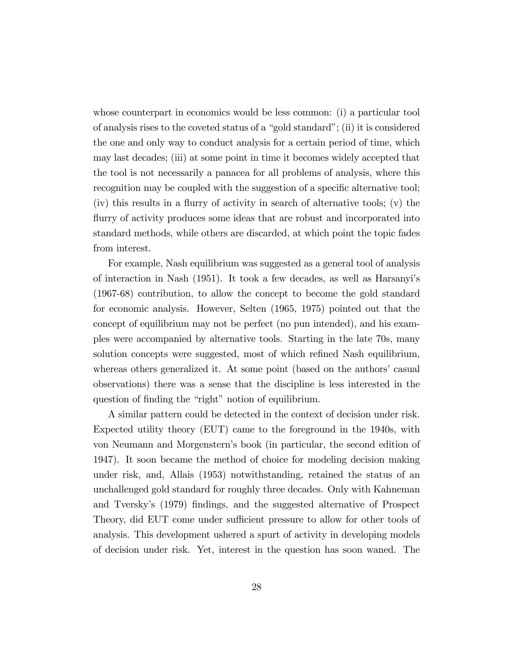whose counterpart in economics would be less common: (i) a particular tool of analysis rises to the coveted status of a "gold standard"; (ii) it is considered the one and only way to conduct analysis for a certain period of time, which may last decades; (iii) at some point in time it becomes widely accepted that the tool is not necessarily a panacea for all problems of analysis, where this recognition may be coupled with the suggestion of a specific alternative tool;  $(iv)$  this results in a flurry of activity in search of alternative tools;  $(v)$  the flurry of activity produces some ideas that are robust and incorporated into standard methods, while others are discarded, at which point the topic fades from interest.

For example, Nash equilibrium was suggested as a general tool of analysis of interaction in Nash (1951). It took a few decades, as well as Harsanyiís (1967-68) contribution, to allow the concept to become the gold standard for economic analysis. However, Selten (1965, 1975) pointed out that the concept of equilibrium may not be perfect (no pun intended), and his examples were accompanied by alternative tools. Starting in the late 70s, many solution concepts were suggested, most of which refined Nash equilibrium, whereas others generalized it. At some point (based on the authors' casual observations) there was a sense that the discipline is less interested in the question of finding the "right" notion of equilibrium.

A similar pattern could be detected in the context of decision under risk. Expected utility theory (EUT) came to the foreground in the 1940s, with von Neumann and Morgensternís book (in particular, the second edition of 1947). It soon became the method of choice for modeling decision making under risk, and, Allais (1953) notwithstanding, retained the status of an unchallenged gold standard for roughly three decades. Only with Kahneman and Tversky's (1979) findings, and the suggested alternative of Prospect Theory, did EUT come under sufficient pressure to allow for other tools of analysis. This development ushered a spurt of activity in developing models of decision under risk. Yet, interest in the question has soon waned. The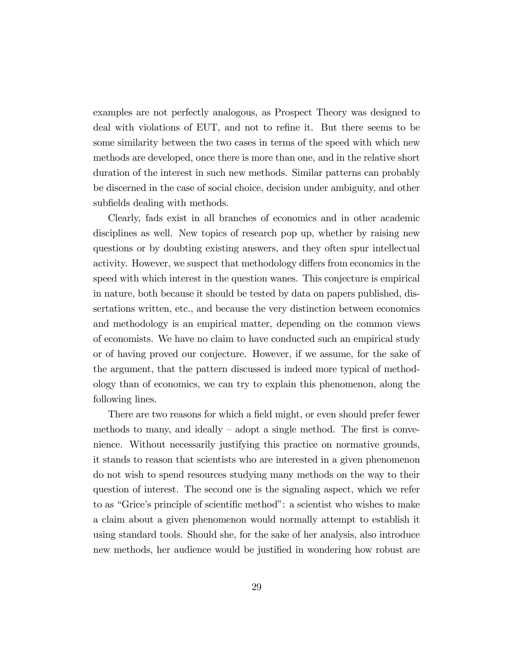examples are not perfectly analogous, as Prospect Theory was designed to deal with violations of EUT, and not to refine it. But there seems to be some similarity between the two cases in terms of the speed with which new methods are developed, once there is more than one, and in the relative short duration of the interest in such new methods. Similar patterns can probably be discerned in the case of social choice, decision under ambiguity, and other subfields dealing with methods.

Clearly, fads exist in all branches of economics and in other academic disciplines as well. New topics of research pop up, whether by raising new questions or by doubting existing answers, and they often spur intellectual activity. However, we suspect that methodology differs from economics in the speed with which interest in the question wanes. This conjecture is empirical in nature, both because it should be tested by data on papers published, dissertations written, etc., and because the very distinction between economics and methodology is an empirical matter, depending on the common views of economists. We have no claim to have conducted such an empirical study or of having proved our conjecture. However, if we assume, for the sake of the argument, that the pattern discussed is indeed more typical of methodology than of economics, we can try to explain this phenomenon, along the following lines.

There are two reasons for which a field might, or even should prefer fewer methods to many, and ideally  $-$  adopt a single method. The first is convenience. Without necessarily justifying this practice on normative grounds, it stands to reason that scientists who are interested in a given phenomenon do not wish to spend resources studying many methods on the way to their question of interest. The second one is the signaling aspect, which we refer to as "Grice's principle of scientific method": a scientist who wishes to make a claim about a given phenomenon would normally attempt to establish it using standard tools. Should she, for the sake of her analysis, also introduce new methods, her audience would be justified in wondering how robust are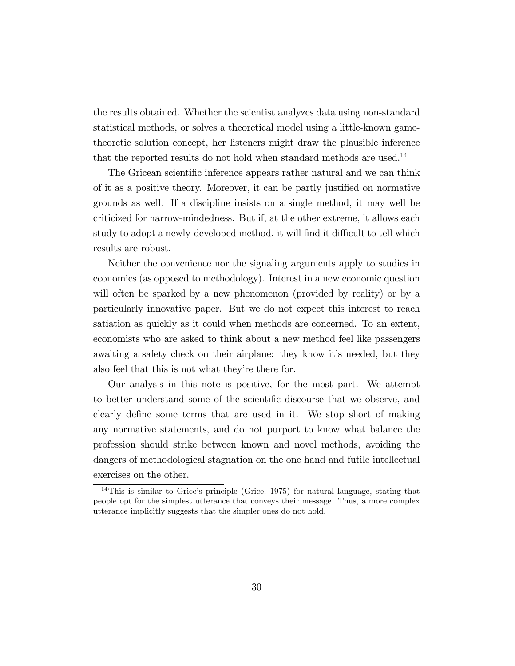the results obtained. Whether the scientist analyzes data using non-standard statistical methods, or solves a theoretical model using a little-known gametheoretic solution concept, her listeners might draw the plausible inference that the reported results do not hold when standard methods are used.<sup>14</sup>

The Gricean scientific inference appears rather natural and we can think of it as a positive theory. Moreover, it can be partly justified on normative grounds as well. If a discipline insists on a single method, it may well be criticized for narrow-mindedness. But if, at the other extreme, it allows each study to adopt a newly-developed method, it will find it difficult to tell which results are robust.

Neither the convenience nor the signaling arguments apply to studies in economics (as opposed to methodology). Interest in a new economic question will often be sparked by a new phenomenon (provided by reality) or by a particularly innovative paper. But we do not expect this interest to reach satiation as quickly as it could when methods are concerned. To an extent, economists who are asked to think about a new method feel like passengers awaiting a safety check on their airplane: they know it's needed, but they also feel that this is not what they're there for.

Our analysis in this note is positive, for the most part. We attempt to better understand some of the scientific discourse that we observe, and clearly define some terms that are used in it. We stop short of making any normative statements, and do not purport to know what balance the profession should strike between known and novel methods, avoiding the dangers of methodological stagnation on the one hand and futile intellectual exercises on the other.

 $14$ This is similar to Grice's principle (Grice, 1975) for natural language, stating that people opt for the simplest utterance that conveys their message. Thus, a more complex utterance implicitly suggests that the simpler ones do not hold.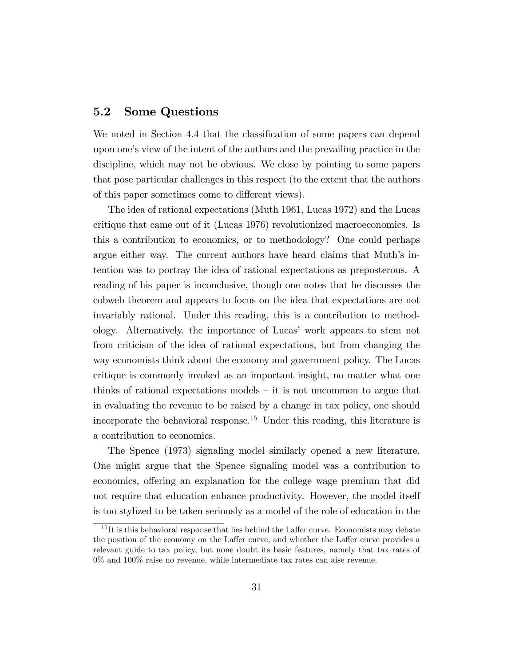#### 5.2 Some Questions

We noted in Section 4.4 that the classification of some papers can depend upon one's view of the intent of the authors and the prevailing practice in the discipline, which may not be obvious. We close by pointing to some papers that pose particular challenges in this respect (to the extent that the authors of this paper sometimes come to different views).

The idea of rational expectations (Muth 1961, Lucas 1972) and the Lucas critique that came out of it (Lucas 1976) revolutionized macroeconomics. Is this a contribution to economics, or to methodology? One could perhaps argue either way. The current authors have heard claims that Muth's intention was to portray the idea of rational expectations as preposterous. A reading of his paper is inconclusive, though one notes that he discusses the cobweb theorem and appears to focus on the idea that expectations are not invariably rational. Under this reading, this is a contribution to methodology. Alternatively, the importance of Lucasí work appears to stem not from criticism of the idea of rational expectations, but from changing the way economists think about the economy and government policy. The Lucas critique is commonly invoked as an important insight, no matter what one thinks of rational expectations models  $-$  it is not uncommon to argue that in evaluating the revenue to be raised by a change in tax policy, one should incorporate the behavioral response.<sup>15</sup> Under this reading, this literature is a contribution to economics.

The Spence (1973) signaling model similarly opened a new literature. One might argue that the Spence signaling model was a contribution to economics, offering an explanation for the college wage premium that did not require that education enhance productivity. However, the model itself is too stylized to be taken seriously as a model of the role of education in the

 $15$ It is this behavioral response that lies behind the Laffer curve. Economists may debate the position of the economy on the Laffer curve, and whether the Laffer curve provides a relevant guide to tax policy, but none doubt its basic features, namely that tax rates of 0% and 100% raise no revenue, while intermediate tax rates can aise revenue.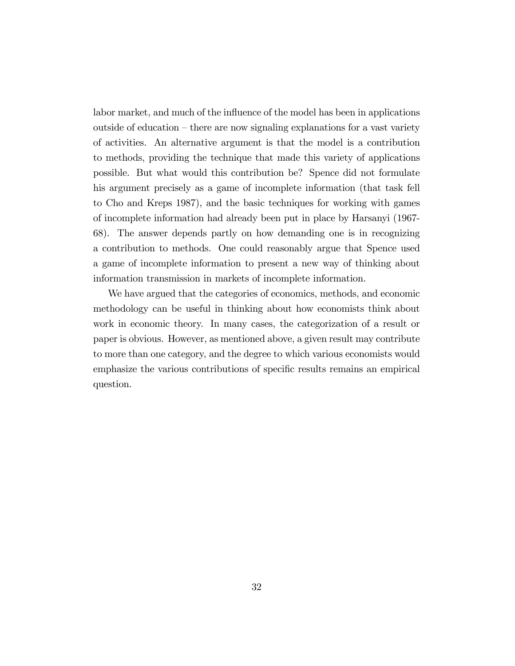labor market, and much of the influence of the model has been in applications outside of education  $-\theta$  here are now signaling explanations for a vast variety of activities. An alternative argument is that the model is a contribution to methods, providing the technique that made this variety of applications possible. But what would this contribution be? Spence did not formulate his argument precisely as a game of incomplete information (that task fell to Cho and Kreps 1987), and the basic techniques for working with games of incomplete information had already been put in place by Harsanyi (1967- 68). The answer depends partly on how demanding one is in recognizing a contribution to methods. One could reasonably argue that Spence used a game of incomplete information to present a new way of thinking about information transmission in markets of incomplete information.

We have argued that the categories of economics, methods, and economic methodology can be useful in thinking about how economists think about work in economic theory. In many cases, the categorization of a result or paper is obvious. However, as mentioned above, a given result may contribute to more than one category, and the degree to which various economists would emphasize the various contributions of specific results remains an empirical question.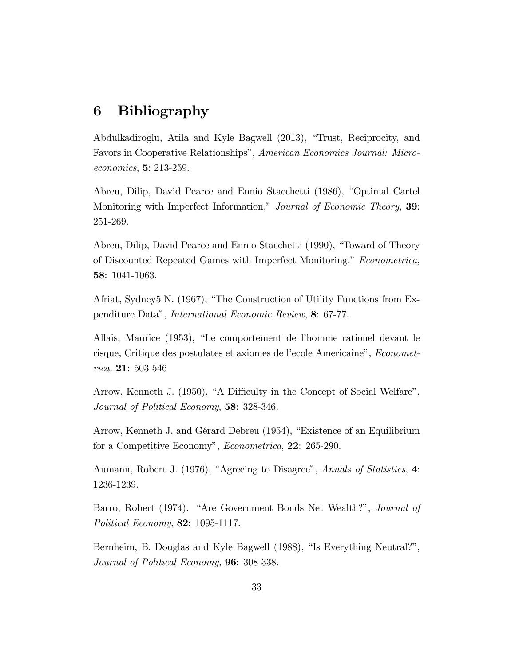#### 6 **Bibliography**

Abdulkadiroğlu, Atila and Kyle Bagwell (2013), "Trust, Reciprocity, and Favors in Cooperative Relationships", American Economics Journal: Microeconomics, 5: 213-259.

Abreu, Dilip, David Pearce and Ennio Stacchetti (1986), "Optimal Cartel Monitoring with Imperfect Information," Journal of Economic Theory, 39: 251-269.

Abreu, Dilip, David Pearce and Ennio Stacchetti (1990), "Toward of Theory of Discounted Repeated Games with Imperfect Monitoring," Econometrica, 58: 1041-1063.

Afriat, Sydney5 N. (1967), "The Construction of Utility Functions from Expenditure Data", *International Economic Review*, 8: 67-77.

Allais, Maurice (1953), "Le comportement de l'homme rationel devant le risque, Critique des postulates et axiomes de l'ecole Americaine", *Econometrica*, **21**: 503-546

Arrow, Kenneth J. (1950), "A Difficulty in the Concept of Social Welfare", Journal of Political Economy, 58: 328-346.

Arrow, Kenneth J. and Gérard Debreu (1954), "Existence of an Equilibrium for a Competitive Economy", *Econometrica*, 22: 265-290.

Aumann, Robert J. (1976), "Agreeing to Disagree", Annals of Statistics, 4: 1236-1239.

Barro, Robert (1974). "Are Government Bonds Net Wealth?", Journal of Political Economy, 82: 1095-1117.

Bernheim, B. Douglas and Kyle Bagwell (1988), "Is Everything Neutral?", Journal of Political Economy, 96: 308-338.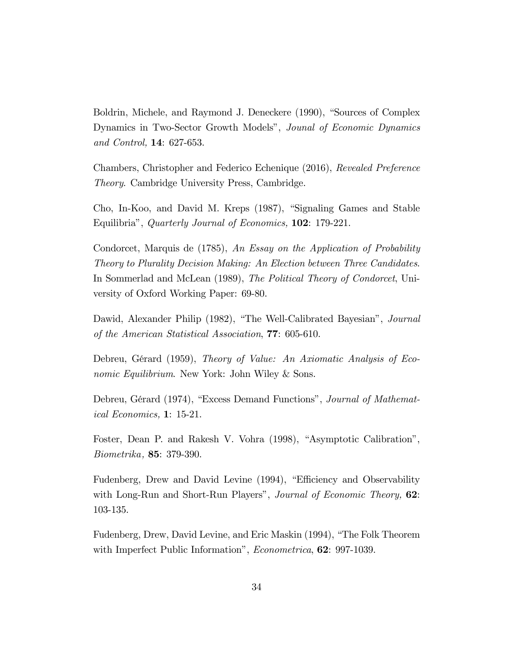Boldrin, Michele, and Raymond J. Deneckere (1990), "Sources of Complex Dynamics in Two-Sector Growth Models", Jounal of Economic Dynamics and Control, 14: 627-653.

Chambers, Christopher and Federico Echenique (2016), Revealed Preference *Theory.* Cambridge University Press, Cambridge.

Cho, In-Koo, and David M. Kreps (1987), "Signaling Games and Stable Equilibria", Quarterly Journal of Economics, 102: 179-221.

Condorcet, Marquis de (1785), An Essay on the Application of Probability Theory to Plurality Decision Making: An Election between Three Candidates. In Sommerlad and McLean (1989), The Political Theory of Condorcet, University of Oxford Working Paper: 69-80.

Dawid, Alexander Philip (1982), "The Well-Calibrated Bayesian", Journal of the American Statistical Association, 77: 605-610.

Debreu, Gérard (1959), Theory of Value: An Axiomatic Analysis of Economic Equilibrium. New York: John Wiley & Sons.

Debreu, Gérard (1974), "Excess Demand Functions", Journal of Mathemat*ical Economics*,  $1: 15-21$ .

Foster, Dean P. and Rakesh V. Vohra (1998), "Asymptotic Calibration", *Biometrika*, **85**: 379-390.

Fudenberg, Drew and David Levine (1994), "Efficiency and Observability with Long-Run and Short-Run Players", Journal of Economic Theory, 62: 103-135.

Fudenberg, Drew, David Levine, and Eric Maskin (1994), "The Folk Theorem with Imperfect Public Information", *Econometrica*, 62: 997-1039.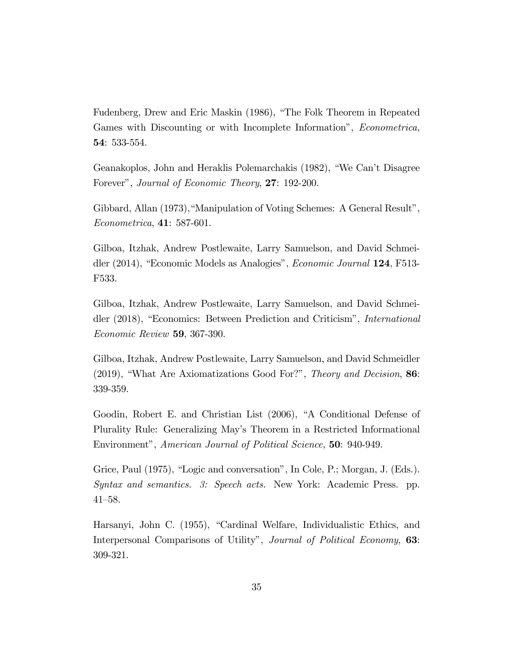Fudenberg, Drew and Eric Maskin (1986), "The Folk Theorem in Repeated Games with Discounting or with Incomplete Information", Econometrica, 54: 533-554.

Geanakoplos, John and Heraklis Polemarchakis (1982), "We Can't Disagree Forever", Journal of Economic Theory, 27: 192-200.

Gibbard, Allan (1973), "Manipulation of Voting Schemes: A General Result",  $Econometrica, 41: 587-601.$ 

Gilboa, Itzhak, Andrew Postlewaite, Larry Samuelson, and David Schmeidler (2014), "Economic Models as Analogies", *Economic Journal* 124, F513-F533.

Gilboa, Itzhak, Andrew Postlewaite, Larry Samuelson, and David Schmeidler (2018), "Economics: Between Prediction and Criticism", *International* Economic Review 59, 367-390.

Gilboa, Itzhak, Andrew Postlewaite, Larry Samuelson, and David Schmeidler (2019), "What Are Axiomatizations Good For?", Theory and Decision, 86: 339-359.

Goodin, Robert E. and Christian List (2006), "A Conditional Defense of Plurality Rule: Generalizing May's Theorem in a Restricted Informational Environment", American Journal of Political Science, 50: 940-949.

Grice, Paul (1975), "Logic and conversation", In Cole, P.; Morgan, J. (Eds.). Syntax and semantics. 3: Speech acts. New York: Academic Press. pp.  $41 - 58.$ 

Harsanyi, John C. (1955), "Cardinal Welfare, Individualistic Ethics, and Interpersonal Comparisons of Utility", Journal of Political Economy, 63: 309-321.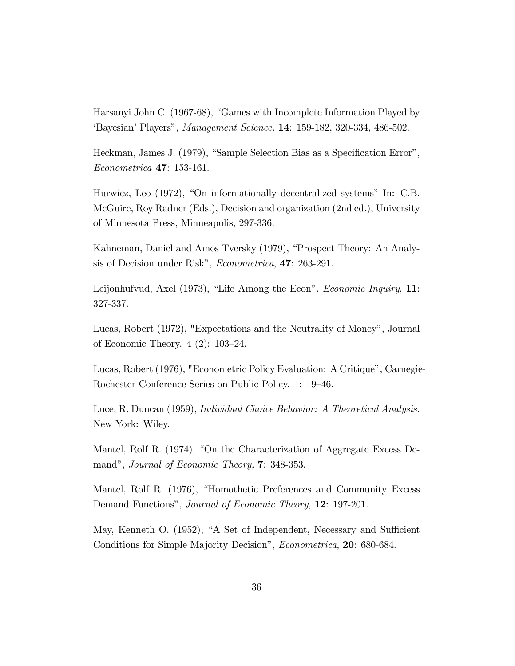Harsanyi John C. (1967-68), "Games with Incomplete Information Played by 'Bayesian' Players", Management Science, 14: 159-182, 320-334, 486-502.

Heckman, James J. (1979), "Sample Selection Bias as a Specification Error", *Econometrica* 47: 153-161.

Hurwicz, Leo (1972), "On informationally decentralized systems" In: C.B. McGuire, Roy Radner (Eds.), Decision and organization (2nd ed.), University of Minnesota Press, Minneapolis, 297-336.

Kahneman, Daniel and Amos Tversky (1979), "Prospect Theory: An Analysis of Decision under Risk", *Econometrica*, **47**: 263-291.

Leijonhufvud, Axel (1973), "Life Among the Econ", *Economic Inquiry*, 11: 327-337.

Lucas, Robert (1972), "Expectations and the Neutrality of Money", Journal of Economic Theory.  $4(2)$ : 103-24.

Lucas, Robert (1976), "Econometric Policy Evaluation: A Critique", Carnegie-Rochester Conference Series on Public Policy. 1: 19–46.

Luce, R. Duncan (1959), *Individual Choice Behavior: A Theoretical Analysis.* New York: Wiley.

Mantel, Rolf R. (1974), "On the Characterization of Aggregate Excess Demand", Journal of Economic Theory, 7: 348-353.

Mantel, Rolf R. (1976), "Homothetic Preferences and Community Excess Demand Functions", Journal of Economic Theory, 12: 197-201.

May, Kenneth O. (1952), "A Set of Independent, Necessary and Sufficient Conditions for Simple Majority Decision", *Econometrica*, **20**: 680-684.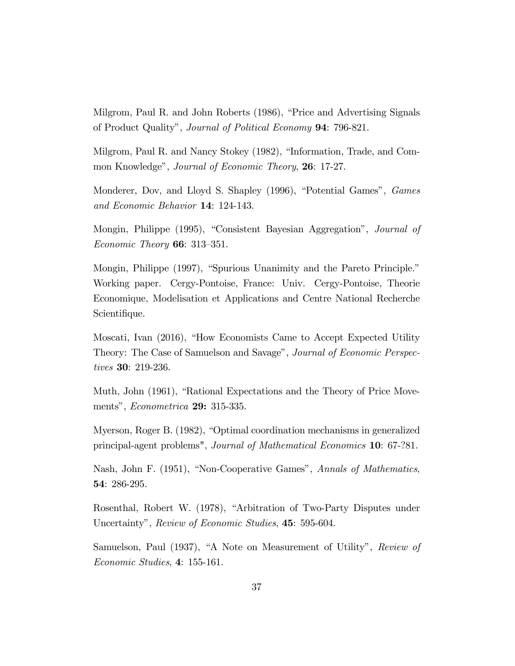Milgrom, Paul R. and John Roberts (1986), "Price and Advertising Signals of Product Quality", *Journal of Political Economy* **94**: 796-821.

Milgrom, Paul R. and Nancy Stokey (1982), "Information, Trade, and Common Knowledge", Journal of Economic Theory, 26: 17-27.

Monderer, Dov, and Lloyd S. Shapley (1996), "Potential Games", Games and Economic Behavior 14: 124-143.

Mongin, Philippe (1995), "Consistent Bayesian Aggregation", Journal of *Economic Theory* **66**: 313-351.

Mongin, Philippe (1997), "Spurious Unanimity and the Pareto Principle." Working paper. Cergy-Pontoise, France: Univ. Cergy-Pontoise, Theorie Economique, Modelisation et Applications and Centre National Recherche Scientifique.

Moscati, Ivan (2016), "How Economists Came to Accept Expected Utility Theory: The Case of Samuelson and Savage", Journal of Economic Perspectives 30: 219-236.

Muth, John (1961), "Rational Expectations and the Theory of Price Movements", *Econometrica* **29:** 315-335.

Myerson, Roger B. (1982), "Optimal coordination mechanisms in generalized principal-agent problems", Journal of Mathematical Economics 10: 67-?81.

Nash, John F. (1951), "Non-Cooperative Games", Annals of Mathematics, 54: 286-295.

Rosenthal, Robert W. (1978), "Arbitration of Two-Party Disputes under Uncertainty", Review of Economic Studies, 45: 595-604.

Samuelson, Paul (1937), "A Note on Measurement of Utility", Review of Economic Studies, 4: 155-161.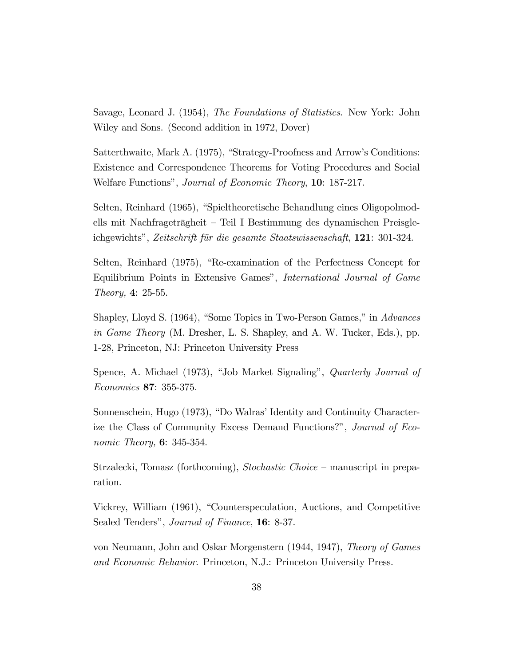Savage, Leonard J. (1954), The Foundations of Statistics. New York: John Wiley and Sons. (Second addition in 1972, Dover)

Satterthwaite, Mark A. (1975), "Strategy-Proofness and Arrow's Conditions: Existence and Correspondence Theorems for Voting Procedures and Social Welfare Functions", Journal of Economic Theory, 10: 187-217.

Selten, Reinhard (1965), "Spieltheoretische Behandlung eines Oligopolmodells mit Nachfrageträgheit – Teil I Bestimmung des dynamischen Preisgleichgewichts", Zeitschrift für die gesamte Staatswissenschaft, 121: 301-324.

Selten, Reinhard (1975), "Re-examination of the Perfectness Concept for Equilibrium Points in Extensive Games", International Journal of Game *Theory*, 4: 25-55.

Shapley, Lloyd S. (1964), "Some Topics in Two-Person Games," in Advances in Game Theory (M. Dresher, L. S. Shapley, and A. W. Tucker, Eds.), pp. 1-28, Princeton, NJ: Princeton University Press

Spence, A. Michael (1973), "Job Market Signaling", *Quarterly Journal of* Economics 87: 355-375.

Sonnenschein, Hugo (1973), "Do Walras' Identity and Continuity Characterize the Class of Community Excess Demand Functions?", Journal of Eco*nomic Theory*, **6**:  $345-354$ .

Strzalecki, Tomasz (forthcoming), Stochastic Choice – manuscript in preparation.

Vickrey, William (1961), "Counterspeculation, Auctions, and Competitive Sealed Tenders", Journal of Finance, 16: 8-37.

von Neumann, John and Oskar Morgenstern (1944, 1947), Theory of Games and Economic Behavior. Princeton, N.J.: Princeton University Press.